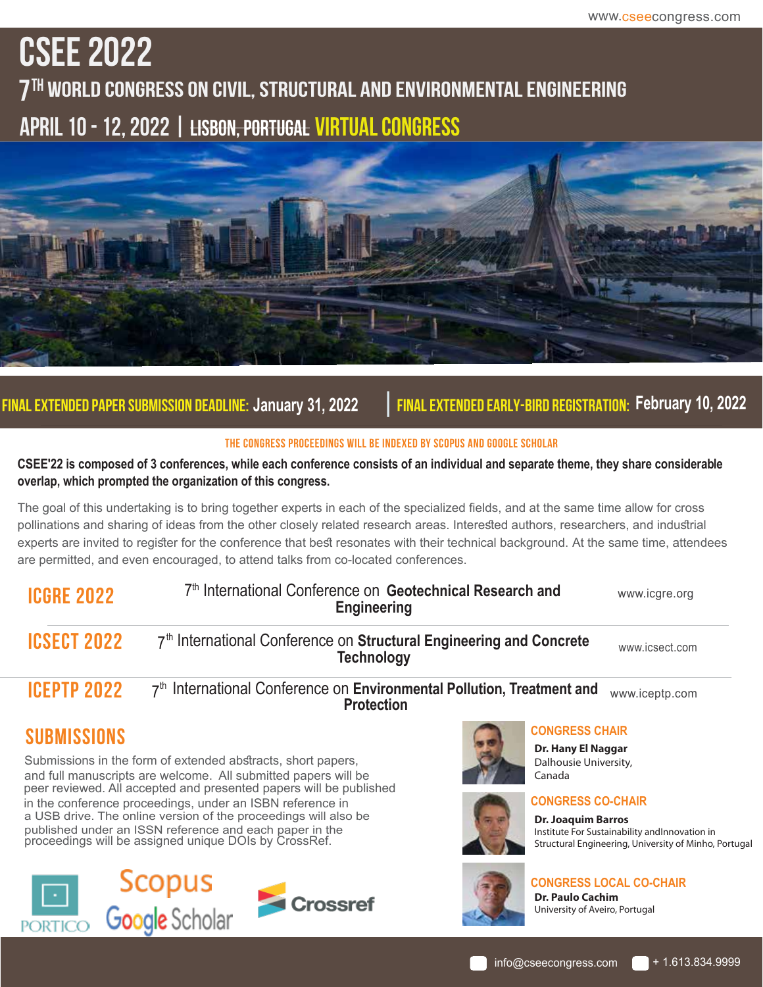# **CSEE 2022**

**7th World Congress On Civil, Structural And Environmental Engineering April 10 - 12, 2022 | Lisbon, Portugal Virtual Congress**



# **Final Extended Paper Submission Deadline: January 31, 2022 | Final Extended Early-Bird Registration: February 10, 2022**

#### **The congress proceedings will be indexed by Scopus and Google SCHOLAR**

**CSEE'22 is composed of 3 conferences, while each conference consists of an individual and separate theme, they share considerable overlap, which prompted the organization of this congress.** 

The goal of this undertaking is to bring together experts in each of the specialized fields, and at the same time allow for cross pollinations and sharing of ideas from the other closely related research areas. Interested authors, researchers, and industrial experts are invited to register for the conference that best resonates with their technical background. At the same time, attendees are permitted, and even encouraged, to attend talks from co-located conferences.

| <b>ICGRE 2022</b>  | 7 <sup>th</sup> International Conference on Geotechnical Research and<br><b>Engineering</b>             | www.icgre.org  |
|--------------------|---------------------------------------------------------------------------------------------------------|----------------|
| <b>ICSECT 2022</b> | 7 <sup>th</sup> International Conference on Structural Engineering and Concrete<br><b>Technology</b>    | www.icsect.com |
| <b>ICEPTP 2022</b> | 7 <sup>th</sup> International Conference on Environmental Pollution, Treatment and<br><b>Protection</b> | www.iceptp.com |
| <b>SUBMISSIONS</b> | <b>CONGRESS CHAIR</b><br>Dr. Hany El Naggar                                                             |                |

Submissions in the form of extended abstracts, short papers, and full manuscripts are welcome. All submitted papers will be peer reviewed. All accepted and presented papers will be published in the conference proceedings, under an ISBN reference in a USB drive. The online version of the proceedings will also be published under an ISSN reference and each paper in the proceedings will be assigned unique DOIs by CrossRef.







**Dr. Hany El Naggar** Dalhousie University, Canada



### **CONGRESS CO-CHAIR**

**Dr. Joaquim Barros** Institute For Sustainability andInnovation in Structural Engineering, University of Minho, Portugal



## **CONGRESS LOCAL CO-CHAIR**

**Dr. Paulo Cachim** University of Aveiro, Portugal